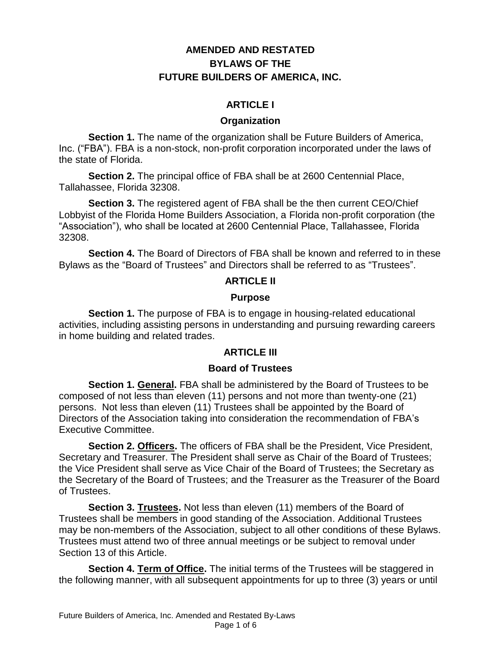# **AMENDED AND RESTATED BYLAWS OF THE FUTURE BUILDERS OF AMERICA, INC.**

# **ARTICLE I**

### **Organization**

**Section 1.** The name of the organization shall be Future Builders of America, Inc. ("FBA"). FBA is a non-stock, non-profit corporation incorporated under the laws of the state of Florida.

**Section 2.** The principal office of FBA shall be at 2600 Centennial Place, Tallahassee, Florida 32308.

**Section 3.** The registered agent of FBA shall be the then current CEO/Chief Lobbyist of the Florida Home Builders Association, a Florida non-profit corporation (the "Association"), who shall be located at 2600 Centennial Place, Tallahassee, Florida 32308.

**Section 4.** The Board of Directors of FBA shall be known and referred to in these Bylaws as the "Board of Trustees" and Directors shall be referred to as "Trustees".

### **ARTICLE II**

### **Purpose**

**Section 1.** The purpose of FBA is to engage in housing-related educational activities, including assisting persons in understanding and pursuing rewarding careers in home building and related trades.

# **ARTICLE III**

### **Board of Trustees**

**Section 1. General.** FBA shall be administered by the Board of Trustees to be composed of not less than eleven (11) persons and not more than twenty-one (21) persons. Not less than eleven (11) Trustees shall be appointed by the Board of Directors of the Association taking into consideration the recommendation of FBA's Executive Committee.

**Section 2. Officers.** The officers of FBA shall be the President, Vice President, Secretary and Treasurer. The President shall serve as Chair of the Board of Trustees; the Vice President shall serve as Vice Chair of the Board of Trustees; the Secretary as the Secretary of the Board of Trustees; and the Treasurer as the Treasurer of the Board of Trustees.

**Section 3. Trustees.** Not less than eleven (11) members of the Board of Trustees shall be members in good standing of the Association. Additional Trustees may be non-members of the Association, subject to all other conditions of these Bylaws. Trustees must attend two of three annual meetings or be subject to removal under Section 13 of this Article.

**Section 4. Term of Office.** The initial terms of the Trustees will be staggered in the following manner, with all subsequent appointments for up to three (3) years or until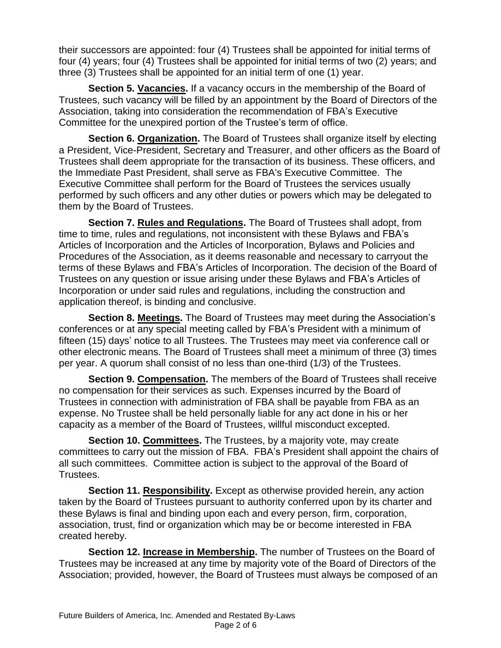their successors are appointed: four (4) Trustees shall be appointed for initial terms of four (4) years; four (4) Trustees shall be appointed for initial terms of two (2) years; and three (3) Trustees shall be appointed for an initial term of one (1) year.

**Section 5. Vacancies.** If a vacancy occurs in the membership of the Board of Trustees, such vacancy will be filled by an appointment by the Board of Directors of the Association, taking into consideration the recommendation of FBA's Executive Committee for the unexpired portion of the Trustee's term of office.

**Section 6. Organization.** The Board of Trustees shall organize itself by electing a President, Vice-President, Secretary and Treasurer, and other officers as the Board of Trustees shall deem appropriate for the transaction of its business. These officers, and the Immediate Past President, shall serve as FBA's Executive Committee. The Executive Committee shall perform for the Board of Trustees the services usually performed by such officers and any other duties or powers which may be delegated to them by the Board of Trustees.

**Section 7. Rules and Regulations.** The Board of Trustees shall adopt, from time to time, rules and regulations, not inconsistent with these Bylaws and FBA's Articles of Incorporation and the Articles of Incorporation, Bylaws and Policies and Procedures of the Association, as it deems reasonable and necessary to carryout the terms of these Bylaws and FBA's Articles of Incorporation. The decision of the Board of Trustees on any question or issue arising under these Bylaws and FBA's Articles of Incorporation or under said rules and regulations, including the construction and application thereof, is binding and conclusive.

**Section 8. Meetings.** The Board of Trustees may meet during the Association's conferences or at any special meeting called by FBA's President with a minimum of fifteen (15) days' notice to all Trustees. The Trustees may meet via conference call or other electronic means. The Board of Trustees shall meet a minimum of three (3) times per year. A quorum shall consist of no less than one-third (1/3) of the Trustees.

**Section 9. Compensation.** The members of the Board of Trustees shall receive no compensation for their services as such. Expenses incurred by the Board of Trustees in connection with administration of FBA shall be payable from FBA as an expense. No Trustee shall be held personally liable for any act done in his or her capacity as a member of the Board of Trustees, willful misconduct excepted.

**Section 10. Committees.** The Trustees, by a majority vote, may create committees to carry out the mission of FBA. FBA's President shall appoint the chairs of all such committees. Committee action is subject to the approval of the Board of Trustees.

**Section 11. Responsibility.** Except as otherwise provided herein, any action taken by the Board of Trustees pursuant to authority conferred upon by its charter and these Bylaws is final and binding upon each and every person, firm, corporation, association, trust, find or organization which may be or become interested in FBA created hereby.

**Section 12. Increase in Membership.** The number of Trustees on the Board of Trustees may be increased at any time by majority vote of the Board of Directors of the Association; provided, however, the Board of Trustees must always be composed of an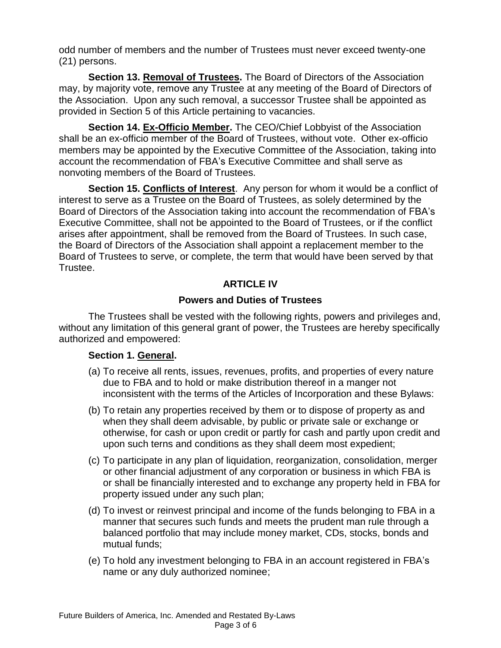odd number of members and the number of Trustees must never exceed twenty-one (21) persons.

**Section 13. Removal of Trustees.** The Board of Directors of the Association may, by majority vote, remove any Trustee at any meeting of the Board of Directors of the Association. Upon any such removal, a successor Trustee shall be appointed as provided in Section 5 of this Article pertaining to vacancies.

**Section 14. Ex-Officio Member.** The CEO/Chief Lobbyist of the Association shall be an ex-officio member of the Board of Trustees, without vote. Other ex-officio members may be appointed by the Executive Committee of the Association, taking into account the recommendation of FBA's Executive Committee and shall serve as nonvoting members of the Board of Trustees.

**Section 15. Conflicts of Interest**. Any person for whom it would be a conflict of interest to serve as a Trustee on the Board of Trustees, as solely determined by the Board of Directors of the Association taking into account the recommendation of FBA's Executive Committee, shall not be appointed to the Board of Trustees, or if the conflict arises after appointment, shall be removed from the Board of Trustees. In such case, the Board of Directors of the Association shall appoint a replacement member to the Board of Trustees to serve, or complete, the term that would have been served by that Trustee.

# **ARTICLE IV**

# **Powers and Duties of Trustees**

The Trustees shall be vested with the following rights, powers and privileges and, without any limitation of this general grant of power, the Trustees are hereby specifically authorized and empowered:

### **Section 1. General.**

- (a) To receive all rents, issues, revenues, profits, and properties of every nature due to FBA and to hold or make distribution thereof in a manger not inconsistent with the terms of the Articles of Incorporation and these Bylaws:
- (b) To retain any properties received by them or to dispose of property as and when they shall deem advisable, by public or private sale or exchange or otherwise, for cash or upon credit or partly for cash and partly upon credit and upon such terns and conditions as they shall deem most expedient;
- (c) To participate in any plan of liquidation, reorganization, consolidation, merger or other financial adjustment of any corporation or business in which FBA is or shall be financially interested and to exchange any property held in FBA for property issued under any such plan;
- (d) To invest or reinvest principal and income of the funds belonging to FBA in a manner that secures such funds and meets the prudent man rule through a balanced portfolio that may include money market, CDs, stocks, bonds and mutual funds;
- (e) To hold any investment belonging to FBA in an account registered in FBA's name or any duly authorized nominee;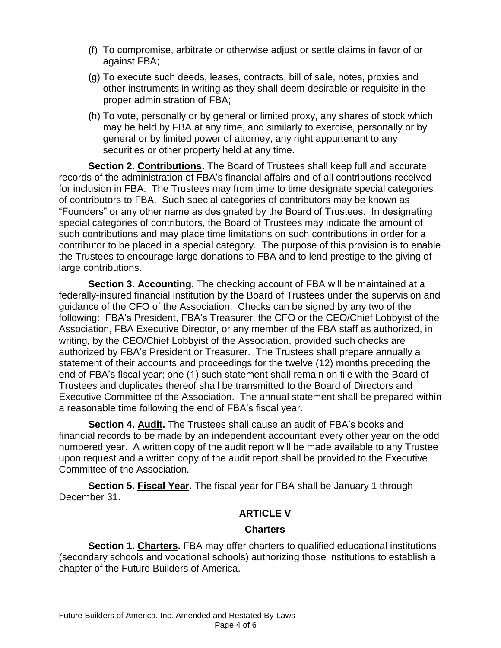- (f) To compromise, arbitrate or otherwise adjust or settle claims in favor of or against FBA;
- (g) To execute such deeds, leases, contracts, bill of sale, notes, proxies and other instruments in writing as they shall deem desirable or requisite in the proper administration of FBA;
- (h) To vote, personally or by general or limited proxy, any shares of stock which may be held by FBA at any time, and similarly to exercise, personally or by general or by limited power of attorney, any right appurtenant to any securities or other property held at any time.

**Section 2. Contributions.** The Board of Trustees shall keep full and accurate records of the administration of FBA's financial affairs and of all contributions received for inclusion in FBA. The Trustees may from time to time designate special categories of contributors to FBA. Such special categories of contributors may be known as "Founders" or any other name as designated by the Board of Trustees. In designating special categories of contributors, the Board of Trustees may indicate the amount of such contributions and may place time limitations on such contributions in order for a contributor to be placed in a special category. The purpose of this provision is to enable the Trustees to encourage large donations to FBA and to lend prestige to the giving of large contributions.

**Section 3. Accounting.** The checking account of FBA will be maintained at a federally-insured financial institution by the Board of Trustees under the supervision and guidance of the CFO of the Association. Checks can be signed by any two of the following: FBA's President, FBA's Treasurer, the CFO or the CEO/Chief Lobbyist of the Association, FBA Executive Director, or any member of the FBA staff as authorized, in writing, by the CEO/Chief Lobbyist of the Association, provided such checks are authorized by FBA's President or Treasurer. The Trustees shall prepare annually a statement of their accounts and proceedings for the twelve (12) months preceding the end of FBA's fiscal year; one (1) such statement shall remain on file with the Board of Trustees and duplicates thereof shall be transmitted to the Board of Directors and Executive Committee of the Association. The annual statement shall be prepared within a reasonable time following the end of FBA's fiscal year.

**Section 4. Audit.** The Trustees shall cause an audit of FBA's books and financial records to be made by an independent accountant every other year on the odd numbered year. A written copy of the audit report will be made available to any Trustee upon request and a written copy of the audit report shall be provided to the Executive Committee of the Association.

**Section 5. Fiscal Year.** The fiscal year for FBA shall be January 1 through December 31.

### **ARTICLE V**

#### **Charters**

**Section 1. Charters.** FBA may offer charters to qualified educational institutions (secondary schools and vocational schools) authorizing those institutions to establish a chapter of the Future Builders of America.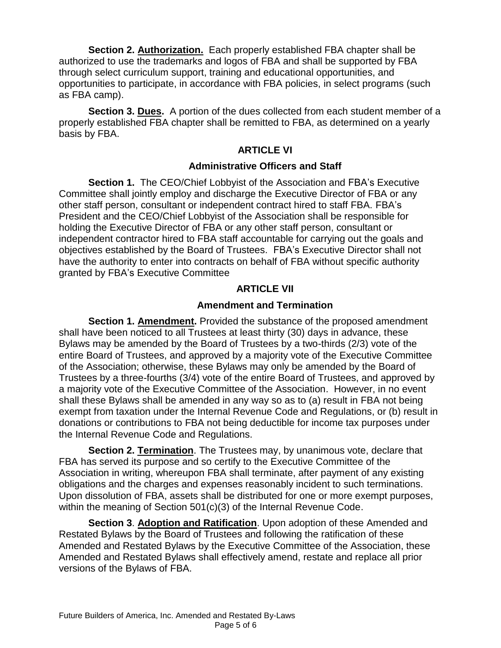**Section 2. Authorization.** Each properly established FBA chapter shall be authorized to use the trademarks and logos of FBA and shall be supported by FBA through select curriculum support, training and educational opportunities, and opportunities to participate, in accordance with FBA policies, in select programs (such as FBA camp).

**Section 3. Dues.** A portion of the dues collected from each student member of a properly established FBA chapter shall be remitted to FBA, as determined on a yearly basis by FBA.

### **ARTICLE VI**

### **Administrative Officers and Staff**

**Section 1.** The CEO/Chief Lobbyist of the Association and FBA's Executive Committee shall jointly employ and discharge the Executive Director of FBA or any other staff person, consultant or independent contract hired to staff FBA. FBA's President and the CEO/Chief Lobbyist of the Association shall be responsible for holding the Executive Director of FBA or any other staff person, consultant or independent contractor hired to FBA staff accountable for carrying out the goals and objectives established by the Board of Trustees. FBA's Executive Director shall not have the authority to enter into contracts on behalf of FBA without specific authority granted by FBA's Executive Committee

### **ARTICLE VII**

### **Amendment and Termination**

**Section 1. Amendment.** Provided the substance of the proposed amendment shall have been noticed to all Trustees at least thirty (30) days in advance, these Bylaws may be amended by the Board of Trustees by a two-thirds (2/3) vote of the entire Board of Trustees, and approved by a majority vote of the Executive Committee of the Association; otherwise, these Bylaws may only be amended by the Board of Trustees by a three-fourths (3/4) vote of the entire Board of Trustees, and approved by a majority vote of the Executive Committee of the Association. However, in no event shall these Bylaws shall be amended in any way so as to (a) result in FBA not being exempt from taxation under the Internal Revenue Code and Regulations, or (b) result in donations or contributions to FBA not being deductible for income tax purposes under the Internal Revenue Code and Regulations.

**Section 2. Termination**. The Trustees may, by unanimous vote, declare that FBA has served its purpose and so certify to the Executive Committee of the Association in writing, whereupon FBA shall terminate, after payment of any existing obligations and the charges and expenses reasonably incident to such terminations. Upon dissolution of FBA, assets shall be distributed for one or more exempt purposes, within the meaning of Section 501(c)(3) of the Internal Revenue Code.

**Section 3**. **Adoption and Ratification**. Upon adoption of these Amended and Restated Bylaws by the Board of Trustees and following the ratification of these Amended and Restated Bylaws by the Executive Committee of the Association, these Amended and Restated Bylaws shall effectively amend, restate and replace all prior versions of the Bylaws of FBA.